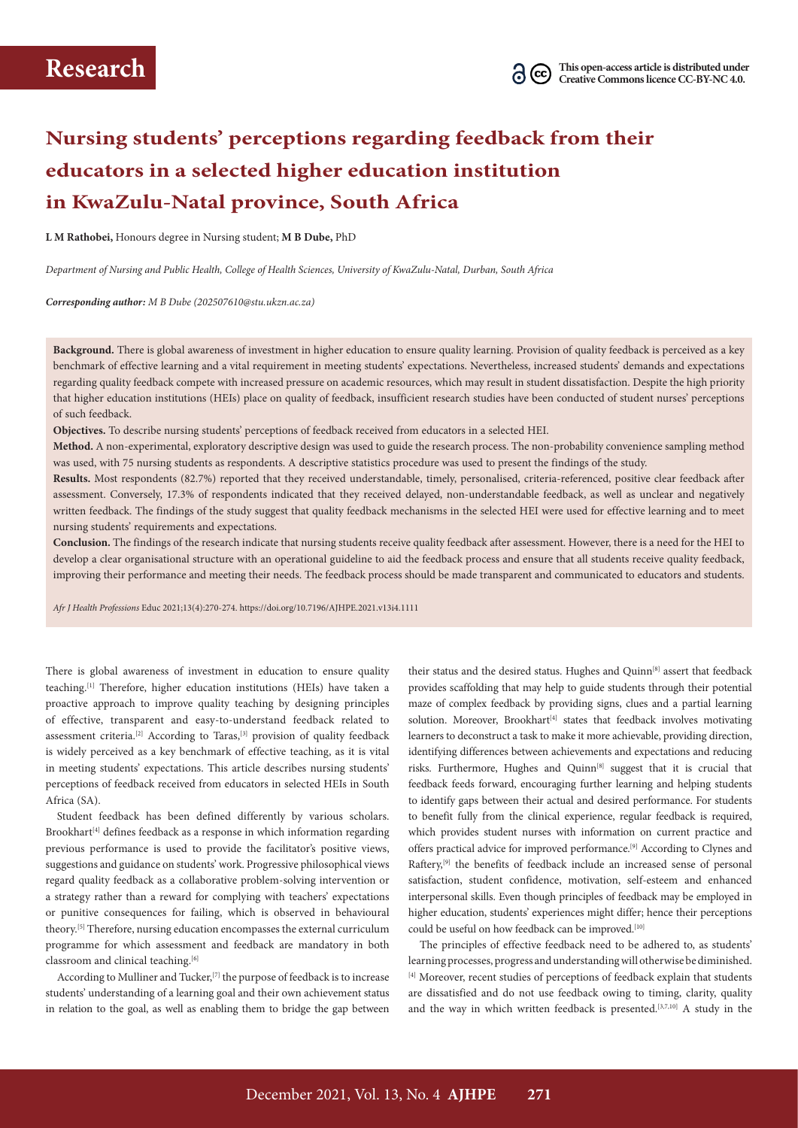# **Nursing students' perceptions regarding feedback from their educators in a selected higher education institution in KwaZulu-Natal province, South Africa**

**L M Rathobei,** Honours degree in Nursing student; **M B Dube,** PhD

*Department of Nursing and Public Health, College of Health Sciences, University of KwaZulu-Natal, Durban, South Africa*

*Corresponding author: M B Dube [\(202507610@stu.ukzn.ac.za](mailto:202507610@stu.ukzn.ac.za))*

**Background.** There is global awareness of investment in higher education to ensure quality learning. Provision of quality feedback is perceived as a key benchmark of effective learning and a vital requirement in meeting students' expectations. Nevertheless, increased students' demands and expectations regarding quality feedback compete with increased pressure on academic resources, which may result in student dissatisfaction. Despite the high priority that higher education institutions (HEIs) place on quality of feedback, insufficient research studies have been conducted of student nurses' perceptions of such feedback.

**Objectives.** To describe nursing students' perceptions of feedback received from educators in a selected HEI.

**Method.** A non-experimental, exploratory descriptive design was used to guide the research process. The non-probability convenience sampling method was used, with 75 nursing students as respondents. A descriptive statistics procedure was used to present the findings of the study.

**Results.** Most respondents (82.7%) reported that they received understandable, timely, personalised, criteria-referenced, positive clear feedback after assessment. Conversely, 17.3% of respondents indicated that they received delayed, non-understandable feedback, as well as unclear and negatively written feedback. The findings of the study suggest that quality feedback mechanisms in the selected HEI were used for effective learning and to meet nursing students' requirements and expectations.

**Conclusion.** The findings of the research indicate that nursing students receive quality feedback after assessment. However, there is a need for the HEI to develop a clear organisational structure with an operational guideline to aid the feedback process and ensure that all students receive quality feedback, improving their performance and meeting their needs. The feedback process should be made transparent and communicated to educators and students.

*Afr J Health Professions* Educ 2021;13(4):270-274. <https://doi.org/10.7196/AJHPE.2021.v13i4.1111>

There is global awareness of investment in education to ensure quality teaching.[1] Therefore, higher education institutions (HEIs) have taken a proactive approach to improve quality teaching by designing principles of effective, transparent and easy-to-understand feedback related to assessment criteria.<sup>[2]</sup> According to Taras,<sup>[3]</sup> provision of quality feedback is widely perceived as a key benchmark of effective teaching, as it is vital in meeting students' expectations. This article describes nursing students' perceptions of feedback received from educators in selected HEIs in South Africa (SA).

Student feedback has been defined differently by various scholars. Brookhart<sup>[4]</sup> defines feedback as a response in which information regarding previous performance is used to provide the facilitator's positive views, suggestions and guidance on students' work. Progressive philosophical views regard quality feedback as a collaborative problem-solving intervention or a strategy rather than a reward for complying with teachers' expectations or punitive consequences for failing, which is observed in behavioural theory.<sup>[5]</sup> Therefore, nursing education encompasses the external curriculum programme for which assessment and feedback are mandatory in both classroom and clinical teaching.<sup>[6]</sup>

According to Mulliner and Tucker,  $[7]$  the purpose of feedback is to increase students' understanding of a learning goal and their own achievement status in relation to the goal, as well as enabling them to bridge the gap between

their status and the desired status. Hughes and Quinn<sup>[8]</sup> assert that feedback provides scaffolding that may help to guide students through their potential maze of complex feedback by providing signs, clues and a partial learning solution. Moreover, Brookhart<sup>[4]</sup> states that feedback involves motivating learners to deconstruct a task to make it more achievable, providing direction, identifying differences between achievements and expectations and reducing risks. Furthermore, Hughes and Quinn<sup>[8]</sup> suggest that it is crucial that feedback feeds forward, encouraging further learning and helping students to identify gaps between their actual and desired performance. For students to benefit fully from the clinical experience, regular feedback is required, which provides student nurses with information on current practice and offers practical advice for improved performance.[9] According to Clynes and Raftery,<sup>[9]</sup> the benefits of feedback include an increased sense of personal satisfaction, student confidence, motivation, self-esteem and enhanced interpersonal skills. Even though principles of feedback may be employed in higher education, students' experiences might differ; hence their perceptions could be useful on how feedback can be improved.<sup>[10]</sup>

The principles of effective feedback need to be adhered to, as students' learning processes, progress and understanding will otherwise be diminished. [4] Moreover, recent studies of perceptions of feedback explain that students are dissatisfied and do not use feedback owing to timing, clarity, quality and the way in which written feedback is presented.<sup>[3,7,10]</sup> A study in the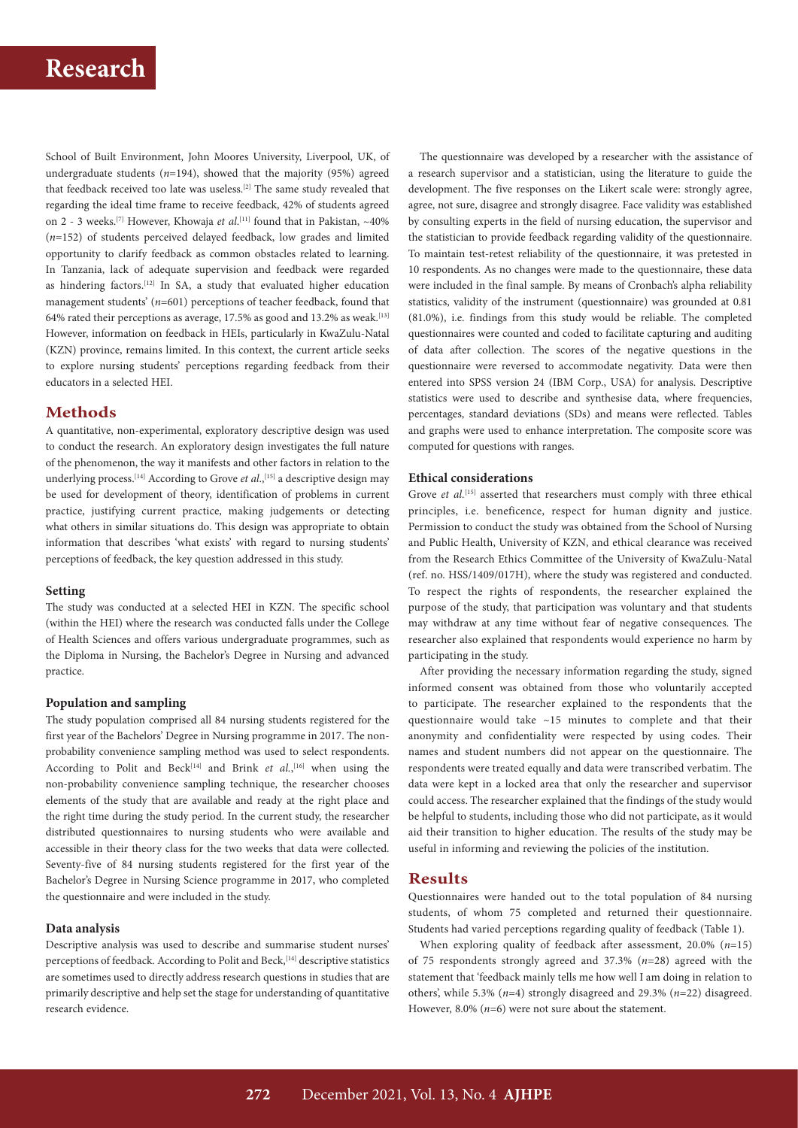School of Built Environment, John Moores University, Liverpool, UK, of undergraduate students (*n*=194), showed that the majority (95%) agreed that feedback received too late was useless.<sup>[2]</sup> The same study revealed that regarding the ideal time frame to receive feedback, 42% of students agreed on 2 - 3 weeks.<sup>[7]</sup> However, Khowaja *et al*.<sup>[11]</sup> found that in Pakistan, ~40% (*n*=152) of students perceived delayed feedback, low grades and limited opportunity to clarify feedback as common obstacles related to learning. In Tanzania, lack of adequate supervision and feedback were regarded as hindering factors.<sup>[12]</sup> In SA, a study that evaluated higher education management students' ( $n=601$ ) perceptions of teacher feedback, found that 64% rated their perceptions as average, 17.5% as good and 13.2% as weak.[13] However, information on feedback in HEIs, particularly in KwaZulu-Natal (KZN) province, remains limited. In this context, the current article seeks to explore nursing students' perceptions regarding feedback from their educators in a selected HEI.

## **Methods**

A quantitative, non-experimental, exploratory descriptive design was used to conduct the research. An exploratory design investigates the full nature of the phenomenon, the way it manifests and other factors in relation to the underlying process.<sup>[14]</sup> According to Grove *et al.*,<sup>[15]</sup> a descriptive design may be used for development of theory, identification of problems in current practice, justifying current practice, making judgements or detecting what others in similar situations do. This design was appropriate to obtain information that describes 'what exists' with regard to nursing students' perceptions of feedback, the key question addressed in this study.

### **Setting**

The study was conducted at a selected HEI in KZN. The specific school (within the HEI) where the research was conducted falls under the College of Health Sciences and offers various undergraduate programmes, such as the Diploma in Nursing, the Bachelor's Degree in Nursing and advanced practice.

### **Population and sampling**

The study population comprised all 84 nursing students registered for the first year of the Bachelors' Degree in Nursing programme in 2017. The nonprobability convenience sampling method was used to select respondents. According to Polit and Beck<sup>[14]</sup> and Brink *et al.*,<sup>[16]</sup> when using the non-probability convenience sampling technique, the researcher chooses elements of the study that are available and ready at the right place and the right time during the study period. In the current study, the researcher distributed questionnaires to nursing students who were available and accessible in their theory class for the two weeks that data were collected. Seventy-five of 84 nursing students registered for the first year of the Bachelor's Degree in Nursing Science programme in 2017, who completed the questionnaire and were included in the study.

## **Data analysis**

Descriptive analysis was used to describe and summarise student nurses' perceptions of feedback. According to Polit and Beck,<sup>[14]</sup> descriptive statistics are sometimes used to directly address research questions in studies that are primarily descriptive and help set the stage for understanding of quantitative research evidence.

The questionnaire was developed by a researcher with the assistance of a research supervisor and a statistician, using the literature to guide the development. The five responses on the Likert scale were: strongly agree, agree, not sure, disagree and strongly disagree. Face validity was established by consulting experts in the field of nursing education, the supervisor and the statistician to provide feedback regarding validity of the questionnaire. To maintain test-retest reliability of the questionnaire, it was pretested in 10 respondents. As no changes were made to the questionnaire, these data were included in the final sample. By means of Cronbach's alpha reliability statistics, validity of the instrument (questionnaire) was grounded at 0.81 (81.0%), i.e. findings from this study would be reliable. The completed questionnaires were counted and coded to facilitate capturing and auditing of data after collection. The scores of the negative questions in the questionnaire were reversed to accommodate negativity. Data were then entered into SPSS version 24 (IBM Corp., USA) for analysis. Descriptive statistics were used to describe and synthesise data, where frequencies, percentages, standard deviations (SDs) and means were reflected. Tables and graphs were used to enhance interpretation. The composite score was computed for questions with ranges.

## **Ethical considerations**

Grove *et al.*<sup>[15]</sup> asserted that researchers must comply with three ethical principles, i.e. beneficence, respect for human dignity and justice. Permission to conduct the study was obtained from the School of Nursing and Public Health, University of KZN, and ethical clearance was received from the Research Ethics Committee of the University of KwaZulu-Natal (ref. no. HSS/1409/017H), where the study was registered and conducted. To respect the rights of respondents, the researcher explained the purpose of the study, that participation was voluntary and that students may withdraw at any time without fear of negative consequences. The researcher also explained that respondents would experience no harm by participating in the study.

After providing the necessary information regarding the study, signed informed consent was obtained from those who voluntarily accepted to participate. The researcher explained to the respondents that the questionnaire would take ~15 minutes to complete and that their anonymity and confidentiality were respected by using codes. Their names and student numbers did not appear on the questionnaire. The respondents were treated equally and data were transcribed verbatim. The data were kept in a locked area that only the researcher and supervisor could access. The researcher explained that the findings of the study would be helpful to students, including those who did not participate, as it would aid their transition to higher education. The results of the study may be useful in informing and reviewing the policies of the institution.

## **Results**

Questionnaires were handed out to the total population of 84 nursing students, of whom 75 completed and returned their questionnaire. Students had varied perceptions regarding quality of feedback (Table 1).

When exploring quality of feedback after assessment, 20.0% (*n*=15) of 75 respondents strongly agreed and 37.3% (*n*=28) agreed with the statement that 'feedback mainly tells me how well I am doing in relation to others', while 5.3% (*n*=4) strongly disagreed and 29.3% (*n*=22) disagreed. However, 8.0% (*n*=6) were not sure about the statement.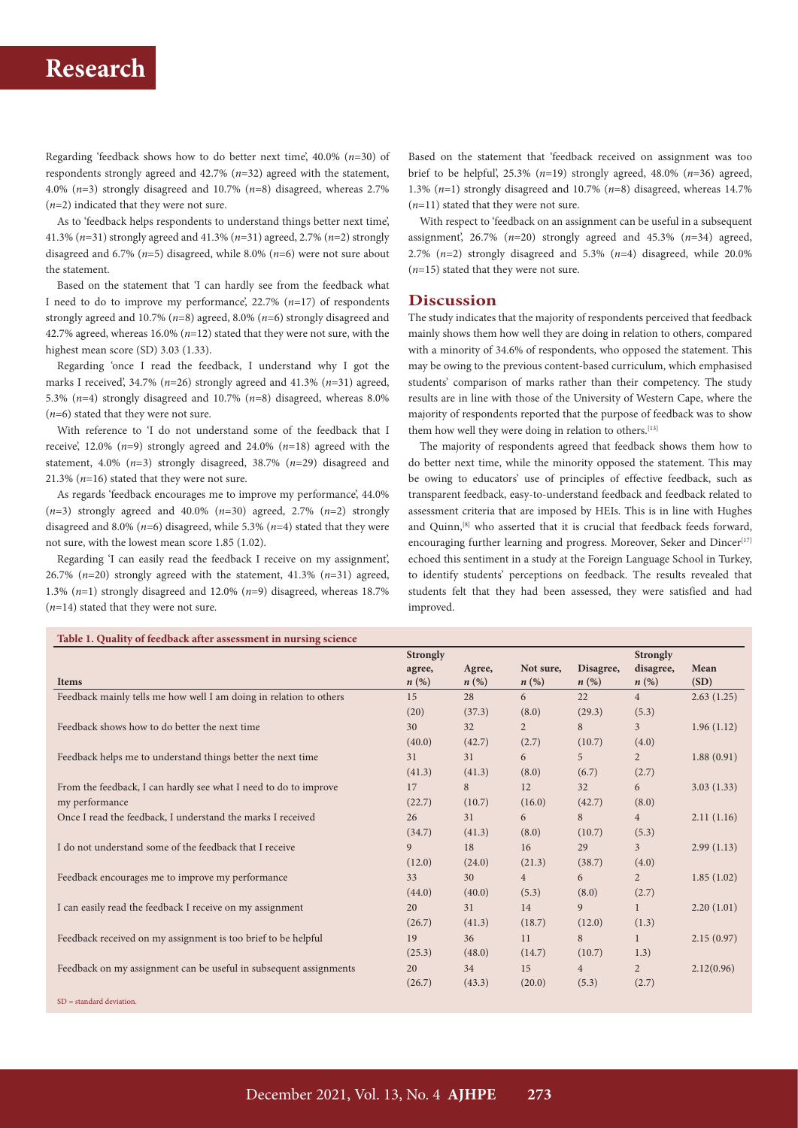## **Research**

Regarding 'feedback shows how to do better next time', 40.0% (*n*=30) of respondents strongly agreed and 42.7% (*n*=32) agreed with the statement, 4.0% (*n*=3) strongly disagreed and 10.7% (*n*=8) disagreed, whereas 2.7% (*n*=2) indicated that they were not sure.

As to 'feedback helps respondents to understand things better next time', 41.3% (*n*=31) strongly agreed and 41.3% (*n*=31) agreed, 2.7% (*n*=2) strongly disagreed and 6.7% (*n*=5) disagreed, while 8.0% (*n*=6) were not sure about the statement.

Based on the statement that 'I can hardly see from the feedback what I need to do to improve my performance', 22.7% (*n*=17) of respondents strongly agreed and 10.7% (*n*=8) agreed, 8.0% (*n*=6) strongly disagreed and 42.7% agreed, whereas 16.0% (*n*=12) stated that they were not sure, with the highest mean score (SD) 3.03 (1.33).

Regarding 'once I read the feedback, I understand why I got the marks I received', 34.7% (*n*=26) strongly agreed and 41.3% (*n*=31) agreed, 5.3% (*n*=4) strongly disagreed and 10.7% (*n*=8) disagreed, whereas 8.0% (*n*=6) stated that they were not sure.

With reference to 'I do not understand some of the feedback that I receive', 12.0% (*n*=9) strongly agreed and 24.0% (*n*=18) agreed with the statement, 4.0% (*n*=3) strongly disagreed, 38.7% (*n*=29) disagreed and 21.3% (*n*=16) stated that they were not sure.

As regards 'feedback encourages me to improve my performance', 44.0%  $(n=3)$  strongly agreed and 40.0%  $(n=30)$  agreed, 2.7%  $(n=2)$  strongly disagreed and 8.0% (*n*=6) disagreed, while 5.3% (*n*=4) stated that they were not sure, with the lowest mean score 1.85 (1.02).

Regarding 'I can easily read the feedback I receive on my assignment', 26.7%  $(n=20)$  strongly agreed with the statement, 41.3%  $(n=31)$  agreed, 1.3% (*n*=1) strongly disagreed and 12.0% (*n*=9) disagreed, whereas 18.7% (*n*=14) stated that they were not sure.

Based on the statement that 'feedback received on assignment was too brief to be helpful',  $25.3\%$  ( $n=19$ ) strongly agreed,  $48.0\%$  ( $n=36$ ) agreed, 1.3% (*n*=1) strongly disagreed and 10.7% (*n*=8) disagreed, whereas 14.7% (*n*=11) stated that they were not sure.

With respect to 'feedback on an assignment can be useful in a subsequent assignment', 26.7% (*n*=20) strongly agreed and 45.3% (*n*=34) agreed, 2.7% (*n*=2) strongly disagreed and 5.3% (*n*=4) disagreed, while 20.0% (*n*=15) stated that they were not sure.

## **Discussion**

The study indicates that the majority of respondents perceived that feedback mainly shows them how well they are doing in relation to others, compared with a minority of 34.6% of respondents, who opposed the statement. This may be owing to the previous content-based curriculum, which emphasised students' comparison of marks rather than their competency. The study results are in line with those of the University of Western Cape, where the majority of respondents reported that the purpose of feedback was to show them how well they were doing in relation to others.<sup>[13]</sup>

The majority of respondents agreed that feedback shows them how to do better next time, while the minority opposed the statement. This may be owing to educators' use of principles of effective feedback, such as transparent feedback, easy-to-understand feedback and feedback related to assessment criteria that are imposed by HEIs. This is in line with Hughes and Quinn,[8] who asserted that it is crucial that feedback feeds forward, encouraging further learning and progress. Moreover, Seker and Dincer<sup>[17]</sup> echoed this sentiment in a study at the Foreign Language School in Turkey, to identify students' perceptions on feedback. The results revealed that students felt that they had been assessed, they were satisfied and had improved.

|                                                                    | <b>Strongly</b>    |                    |                    |                    | <b>Strongly</b>    |            |
|--------------------------------------------------------------------|--------------------|--------------------|--------------------|--------------------|--------------------|------------|
|                                                                    | agree,             | Agree,             | Not sure.          | Disagree,          | disagree,          | Mean       |
| <b>Items</b>                                                       | $n\left(\%\right)$ | $n\left(\%\right)$ | $n\left(\%\right)$ | $n\left(\%\right)$ | $n\left(\%\right)$ | (SD)       |
| Feedback mainly tells me how well I am doing in relation to others | 15                 | 28                 | 6                  | 22                 | 4                  | 2.63(1.25) |
|                                                                    | (20)               | (37.3)             | (8.0)              | (29.3)             | (5.3)              |            |
| Feedback shows how to do better the next time                      | 30                 | 32                 | $\overline{2}$     | 8                  | $\overline{3}$     | 1.96(1.12) |
|                                                                    | (40.0)             | (42.7)             | (2.7)              | (10.7)             | (4.0)              |            |
| Feedback helps me to understand things better the next time        | 31                 | 31                 | 6                  | 5                  | $\overline{2}$     | 1.88(0.91) |
|                                                                    | (41.3)             | (41.3)             | (8.0)              | (6.7)              | (2.7)              |            |
| From the feedback, I can hardly see what I need to do to improve   | 17                 | 8                  | 12                 | 32                 | 6                  | 3.03(1.33) |
| my performance                                                     | (22.7)             | (10.7)             | (16.0)             | (42.7)             | (8.0)              |            |
| Once I read the feedback, I understand the marks I received        | 26                 | 31                 | 6                  | 8                  | $\overline{4}$     | 2.11(1.16) |
|                                                                    | (34.7)             | (41.3)             | (8.0)              | (10.7)             | (5.3)              |            |
| I do not understand some of the feedback that I receive            | 9                  | 18                 | 16                 | 29                 | 3 <sup>1</sup>     | 2.99(1.13) |
|                                                                    | (12.0)             | (24.0)             | (21.3)             | (38.7)             | (4.0)              |            |
| Feedback encourages me to improve my performance                   | 33                 | 30                 | $\overline{4}$     | 6                  | $\overline{2}$     | 1.85(1.02) |
|                                                                    | (44.0)             | (40.0)             | (5.3)              | (8.0)              | (2.7)              |            |
| I can easily read the feedback I receive on my assignment          | 20                 | 31                 | 14                 | 9                  |                    | 2.20(1.01) |
|                                                                    | (26.7)             | (41.3)             | (18.7)             | (12.0)             | (1.3)              |            |
| Feedback received on my assignment is too brief to be helpful      | 19                 | 36                 | 11                 | 8                  | 1                  | 2.15(0.97) |
|                                                                    | (25.3)             | (48.0)             | (14.7)             | (10.7)             | 1.3)               |            |
| Feedback on my assignment can be useful in subsequent assignments  | 20                 | 34                 | 15                 | $4\overline{ }$    | $\overline{2}$     | 2.12(0.96) |
|                                                                    | (26.7)             | (43.3)             | (20.0)             | (5.3)              | (2.7)              |            |
| $SD = standard deviation$ .                                        |                    |                    |                    |                    |                    |            |

**Table 1. Quality of feedback after assessment in nursing science**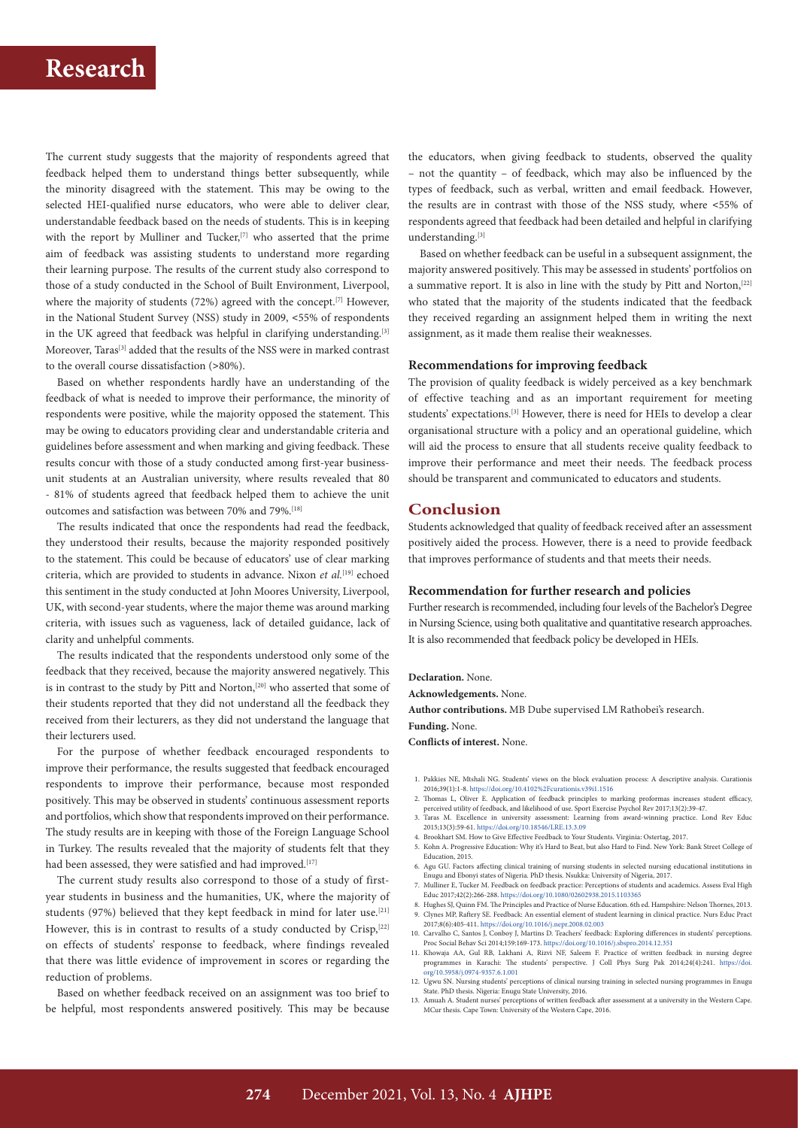

The current study suggests that the majority of respondents agreed that feedback helped them to understand things better subsequently, while the minority disagreed with the statement. This may be owing to the selected HEI-qualified nurse educators, who were able to deliver clear, understandable feedback based on the needs of students. This is in keeping with the report by Mulliner and Tucker,<sup>[7]</sup> who asserted that the prime aim of feedback was assisting students to understand more regarding their learning purpose. The results of the current study also correspond to those of a study conducted in the School of Built Environment, Liverpool, where the majority of students (72%) agreed with the concept.<sup>[7]</sup> However, in the National Student Survey (NSS) study in 2009, <55% of respondents in the UK agreed that feedback was helpful in clarifying understanding.<sup>[3]</sup> Moreover, Taras<sup>[3]</sup> added that the results of the NSS were in marked contrast to the overall course dissatisfaction (>80%).

Based on whether respondents hardly have an understanding of the feedback of what is needed to improve their performance, the minority of respondents were positive, while the majority opposed the statement. This may be owing to educators providing clear and understandable criteria and guidelines before assessment and when marking and giving feedback. These results concur with those of a study conducted among first-year businessunit students at an Australian university, where results revealed that 80 - 81% of students agreed that feedback helped them to achieve the unit outcomes and satisfaction was between 70% and 79%.[18]

The results indicated that once the respondents had read the feedback, they understood their results, because the majority responded positively to the statement. This could be because of educators' use of clear marking criteria, which are provided to students in advance. Nixon *et al.*[19] echoed this sentiment in the study conducted at John Moores University, Liverpool, UK, with second-year students, where the major theme was around marking criteria, with issues such as vagueness, lack of detailed guidance, lack of clarity and unhelpful comments.

The results indicated that the respondents understood only some of the feedback that they received, because the majority answered negatively. This is in contrast to the study by Pitt and Norton,<sup>[20]</sup> who asserted that some of their students reported that they did not understand all the feedback they received from their lecturers, as they did not understand the language that their lecturers used.

For the purpose of whether feedback encouraged respondents to improve their performance, the results suggested that feedback encouraged respondents to improve their performance, because most responded positively. This may be observed in students' continuous assessment reports and portfolios, which show that respondents improved on their performance. The study results are in keeping with those of the Foreign Language School in Turkey. The results revealed that the majority of students felt that they had been assessed, they were satisfied and had improved.<sup>[17]</sup>

The current study results also correspond to those of a study of firstyear students in business and the humanities, UK, where the majority of students (97%) believed that they kept feedback in mind for later use.<sup>[21]</sup> However, this is in contrast to results of a study conducted by Crisp,<sup>[22]</sup> on effects of students' response to feedback, where findings revealed that there was little evidence of improvement in scores or regarding the reduction of problems.

Based on whether feedback received on an assignment was too brief to be helpful, most respondents answered positively. This may be because the educators, when giving feedback to students, observed the quality – not the quantity – of feedback, which may also be influenced by the types of feedback, such as verbal, written and email feedback. However, the results are in contrast with those of the NSS study, where <55% of respondents agreed that feedback had been detailed and helpful in clarifying understanding.[3]

Based on whether feedback can be useful in a subsequent assignment, the majority answered positively. This may be assessed in students' portfolios on a summative report. It is also in line with the study by Pitt and Norton,<sup>[22]</sup> who stated that the majority of the students indicated that the feedback they received regarding an assignment helped them in writing the next assignment, as it made them realise their weaknesses.

### **Recommendations for improving feedback**

The provision of quality feedback is widely perceived as a key benchmark of effective teaching and as an important requirement for meeting students' expectations.<sup>[3]</sup> However, there is need for HEIs to develop a clear organisational structure with a policy and an operational guideline, which will aid the process to ensure that all students receive quality feedback to improve their performance and meet their needs. The feedback process should be transparent and communicated to educators and students.

## **Conclusion**

Students acknowledged that quality of feedback received after an assessment positively aided the process. However, there is a need to provide feedback that improves performance of students and that meets their needs.

### **Recommendation for further research and policies**

Further research is recommended, including four levels of the Bachelor's Degree in Nursing Science, using both qualitative and quantitative research approaches. It is also recommended that feedback policy be developed in HEIs.

#### **Declaration.** None.

**Acknowledgements.** None.

**Author contributions.** MB Dube supervised LM Rathobei's research.

**Funding.** None.

**Conflicts of interest.** None.

- 1. Pakkies NE, Mtshali NG. Students' views on the block evaluation process: A descriptive analysis. Curationis 2016;39(1):1-8. <https://doi.org/10.4102%2Fcurationis.v39i1.1516>
- 2. Thomas L, Oliver E. Application of feedback principles to marking proformas increases student efficacy, perceived utility of feedback, and likelihood of use. Sport Exercise Psychol Rev 2017;13(2):39-47.
- 3. Taras M. Excellence in university assessment: Learning from award-winning practice. Lond Rev Educ 2015;13(3):59-61. <https://doi.org/10.18546/LRE.13.3.09>
- 4. Brookhart SM. How to Give Effective Feedback to Your Students. Virginia: Ostertag, 2017.
- 5. Kohn A. Progressive Education: Why it's Hard to Beat, but also Hard to Find. New York: Bank Street College of Education, 2015.
- 6. Agu GU. Factors affecting clinical training of nursing students in selected nursing educational institutions in Enugu and Ebonyi states of Nigeria. PhD thesis. Nsukka: University of Nigeria, 2017.
- 7. Mulliner E, Tucker M. Feedback on feedback practice: Perceptions of students and academics. Assess Eval High Educ 2017;42(2):266-288. <https://doi.org/10.1080/02602938.2015.1103365> 8. Hughes SJ, Quinn FM. The Principles and Practice of Nurse Education. 6th ed. Hampshire: Nelson Thornes, 2013.
- 9. Clynes MP, Raftery SE. Feedback: An essential element of student learning in clinical practice. Nurs Educ Pract
- 2017;8(6):405-411. <https://doi.org/10.1016/j.nepr.2008.02.003> 10. Carvalho C, Santos J, Conboy J, Martins D. Teachers' feedback: Exploring differences in students' perceptions. Proc Social Behav Sci 2014;159:169-173. <https://doi.org/10.1016/j.sbspro.2014.12.351> 11. Khowaja AA, Gul RB, Lakhani A, Rizvi NF, Saleem F. Practice of written feedback in nursing degree
- programmes in Karachi: The students' perspective. J Coll Phys Surg Pak 2014;24(4):241. [https://doi.](https://doi.org/10.5958/j.0974-9357.6.1.001) [org/10.5958/j.0974-9357.6.1.001](https://doi.org/10.5958/j.0974-9357.6.1.001)
- 12. Ugwu SN. Nursing students' perceptions of clinical nursing training in selected nursing programmes in Enugu State. PhD thesis. Nigeria: Enugu State University, 2016.
- 13. Amuah A. Student nurses' perceptions of written feedback after assessment at a university in the Western Cape. MCur thesis. Cape Town: University of the Western Cape, 2016.